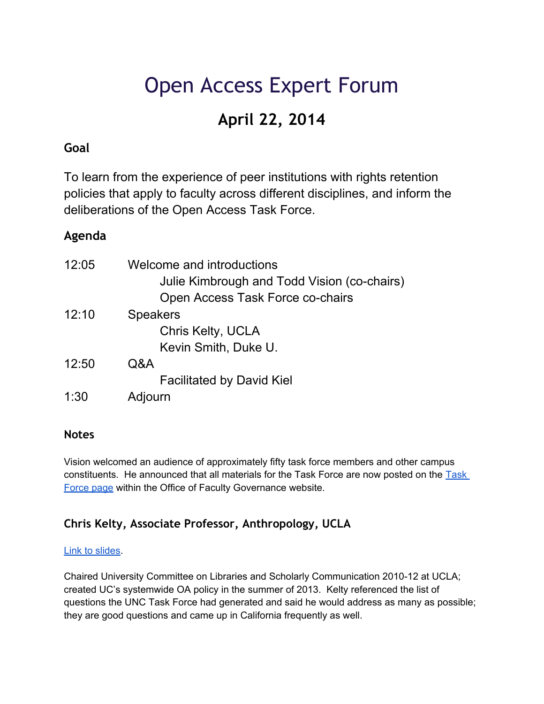# Open Access Expert Forum

## **April 22, 2014**

## **Goal**

To learn from the experience of peer institutions with rights retention policies that apply to faculty across different disciplines, and inform the deliberations of the Open Access Task Force.

## **Agenda**

| 12:05 | Welcome and introductions<br>Julie Kimbrough and Todd Vision (co-chairs)<br>Open Access Task Force co-chairs |
|-------|--------------------------------------------------------------------------------------------------------------|
| 12:10 | <b>Speakers</b>                                                                                              |
|       | Chris Kelty, UCLA                                                                                            |
|       | Kevin Smith, Duke U.                                                                                         |
| 12:50 | Q&A                                                                                                          |
|       | <b>Facilitated by David Kiel</b>                                                                             |
| 1:30  | Adjourn                                                                                                      |

## **Notes**

Vision welcomed an audience of approximately fifty task force members and other campus constituents. He announced that all materials for the Task Force are now posted on the [Task](http://faccoun.unc.edu/committees-2/ad-hoc-committees/open-access-task-force/)  [Force page](http://faccoun.unc.edu/committees-2/ad-hoc-committees/open-access-task-force/) within the Office of Faculty Governance website.

## **Chris Kelty, Associate Professor, Anthropology, UCLA**

#### [Link to slides.](http://bit.ly/1kIs83a)

Chaired University Committee on Libraries and Scholarly Communication 2010-12 at UCLA; created UC's systemwide OA policy in the summer of 2013. Kelty referenced the list of questions the UNC Task Force had generated and said he would address as many as possible; they are good questions and came up in California frequently as well.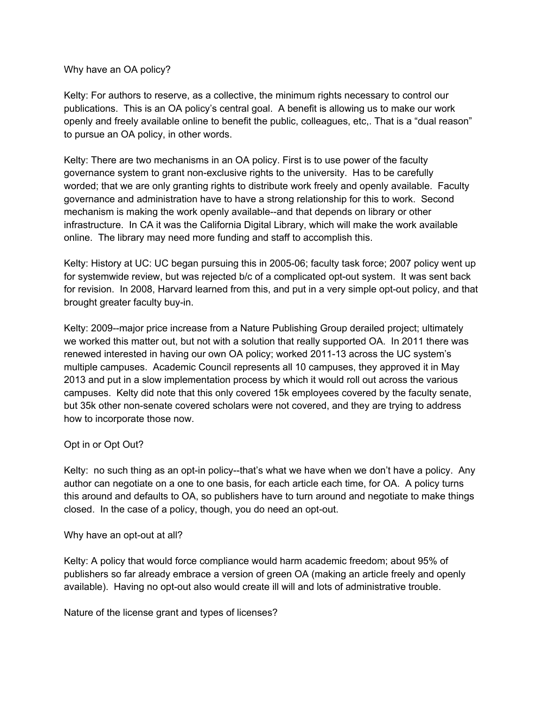Why have an OA policy?

Kelty: For authors to reserve, as a collective, the minimum rights necessary to control our publications. This is an OA policy's central goal. A benefit is allowing us to make our work openly and freely available online to benefit the public, colleagues, etc,. That is a "dual reason" to pursue an OA policy, in other words.

Kelty: There are two mechanisms in an OA policy. First is to use power of the faculty governance system to grant non-exclusive rights to the university. Has to be carefully worded; that we are only granting rights to distribute work freely and openly available. Faculty governance and administration have to have a strong relationship for this to work. Second mechanism is making the work openly available--and that depends on library or other infrastructure. In CA it was the California Digital Library, which will make the work available online. The library may need more funding and staff to accomplish this.

Kelty: History at UC: UC began pursuing this in 2005-06; faculty task force; 2007 policy went up for systemwide review, but was rejected b/c of a complicated opt-out system. It was sent back for revision. In 2008, Harvard learned from this, and put in a very simple opt-out policy, and that brought greater faculty buy-in.

Kelty: 2009--major price increase from a Nature Publishing Group derailed project; ultimately we worked this matter out, but not with a solution that really supported OA. In 2011 there was renewed interested in having our own OA policy; worked 2011-13 across the UC system's multiple campuses. Academic Council represents all 10 campuses, they approved it in May 2013 and put in a slow implementation process by which it would roll out across the various campuses. Kelty did note that this only covered 15k employees covered by the faculty senate, but 35k other non-senate covered scholars were not covered, and they are trying to address how to incorporate those now.

#### Opt in or Opt Out?

Kelty: no such thing as an opt-in policy--that's what we have when we don't have a policy. Any author can negotiate on a one to one basis, for each article each time, for OA. A policy turns this around and defaults to OA, so publishers have to turn around and negotiate to make things closed. In the case of a policy, though, you do need an opt-out.

#### Why have an opt-out at all?

Kelty: A policy that would force compliance would harm academic freedom; about 95% of publishers so far already embrace a version of green OA (making an article freely and openly available). Having no opt-out also would create ill will and lots of administrative trouble.

Nature of the license grant and types of licenses?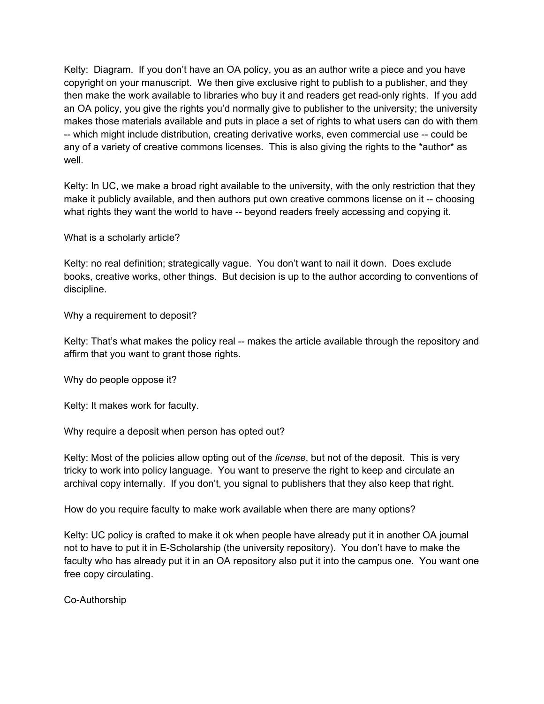Kelty: Diagram. If you don't have an OA policy, you as an author write a piece and you have copyright on your manuscript. We then give exclusive right to publish to a publisher, and they then make the work available to libraries who buy it and readers get read-only rights. If you add an OA policy, you give the rights you'd normally give to publisher to the university; the university makes those materials available and puts in place a set of rights to what users can do with them -- which might include distribution, creating derivative works, even commercial use -- could be any of a variety of creative commons licenses. This is also giving the rights to the \*author\* as well

Kelty: In UC, we make a broad right available to the university, with the only restriction that they make it publicly available, and then authors put own creative commons license on it -- choosing what rights they want the world to have -- beyond readers freely accessing and copying it.

What is a scholarly article?

Kelty: no real definition; strategically vague. You don't want to nail it down. Does exclude books, creative works, other things. But decision is up to the author according to conventions of discipline.

Why a requirement to deposit?

Kelty: That's what makes the policy real -- makes the article available through the repository and affirm that you want to grant those rights.

Why do people oppose it?

Kelty: It makes work for faculty.

Why require a deposit when person has opted out?

Kelty: Most of the policies allow opting out of the *license*, but not of the deposit. This is very tricky to work into policy language. You want to preserve the right to keep and circulate an archival copy internally. If you don't, you signal to publishers that they also keep that right.

How do you require faculty to make work available when there are many options?

Kelty: UC policy is crafted to make it ok when people have already put it in another OA journal not to have to put it in E-Scholarship (the university repository). You don't have to make the faculty who has already put it in an OA repository also put it into the campus one. You want one free copy circulating.

Co-Authorship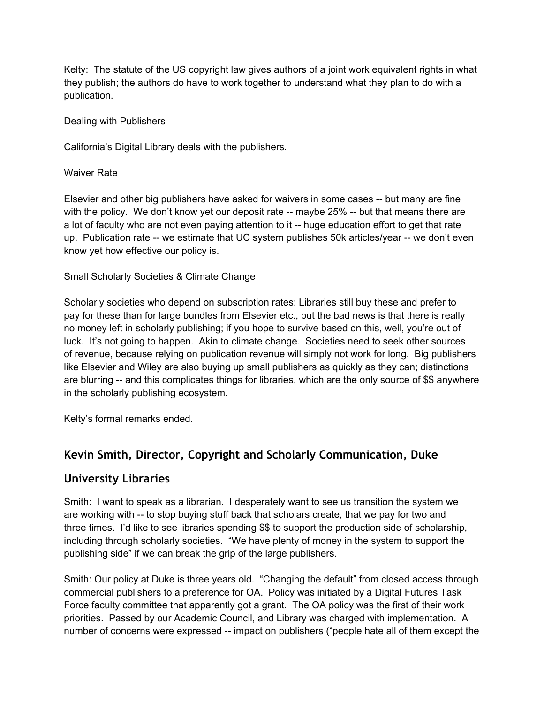Kelty: The statute of the US copyright law gives authors of a joint work equivalent rights in what they publish; the authors do have to work together to understand what they plan to do with a publication.

#### Dealing with Publishers

California's Digital Library deals with the publishers.

#### Waiver Rate

Elsevier and other big publishers have asked for waivers in some cases -- but many are fine with the policy. We don't know yet our deposit rate -- maybe 25% -- but that means there are a lot of faculty who are not even paying attention to it -- huge education effort to get that rate up. Publication rate -- we estimate that UC system publishes 50k articles/year -- we don't even know yet how effective our policy is.

#### Small Scholarly Societies & Climate Change

Scholarly societies who depend on subscription rates: Libraries still buy these and prefer to pay for these than for large bundles from Elsevier etc., but the bad news is that there is really no money left in scholarly publishing; if you hope to survive based on this, well, you're out of luck. It's not going to happen. Akin to climate change. Societies need to seek other sources of revenue, because relying on publication revenue will simply not work for long. Big publishers like Elsevier and Wiley are also buying up small publishers as quickly as they can; distinctions are blurring -- and this complicates things for libraries, which are the only source of \$\$ anywhere in the scholarly publishing ecosystem.

Kelty's formal remarks ended.

## **Kevin Smith, Director, Copyright and Scholarly Communication, Duke**

#### **University Libraries**

Smith: I want to speak as a librarian. I desperately want to see us transition the system we are working with -- to stop buying stuff back that scholars create, that we pay for two and three times. I'd like to see libraries spending \$\$ to support the production side of scholarship, including through scholarly societies. "We have plenty of money in the system to support the publishing side" if we can break the grip of the large publishers.

Smith: Our policy at Duke is three years old. "Changing the default" from closed access through commercial publishers to a preference for OA. Policy was initiated by a Digital Futures Task Force faculty committee that apparently got a grant. The OA policy was the first of their work priorities. Passed by our Academic Council, and Library was charged with implementation. A number of concerns were expressed -- impact on publishers ("people hate all of them except the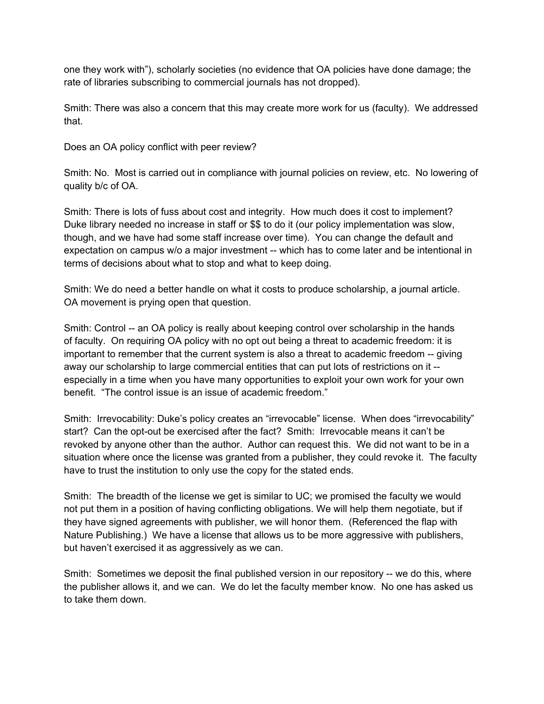one they work with"), scholarly societies (no evidence that OA policies have done damage; the rate of libraries subscribing to commercial journals has not dropped).

Smith: There was also a concern that this may create more work for us (faculty). We addressed that.

Does an OA policy conflict with peer review?

Smith: No. Most is carried out in compliance with journal policies on review, etc. No lowering of quality b/c of OA.

Smith: There is lots of fuss about cost and integrity. How much does it cost to implement? Duke library needed no increase in staff or \$\$ to do it (our policy implementation was slow, though, and we have had some staff increase over time). You can change the default and expectation on campus w/o a major investment -- which has to come later and be intentional in terms of decisions about what to stop and what to keep doing.

Smith: We do need a better handle on what it costs to produce scholarship, a journal article. OA movement is prying open that question.

Smith: Control -- an OA policy is really about keeping control over scholarship in the hands of faculty. On requiring OA policy with no opt out being a threat to academic freedom: it is important to remember that the current system is also a threat to academic freedom -- giving away our scholarship to large commercial entities that can put lots of restrictions on it - especially in a time when you have many opportunities to exploit your own work for your own benefit. "The control issue is an issue of academic freedom."

Smith: Irrevocability: Duke's policy creates an "irrevocable" license. When does "irrevocability" start? Can the opt-out be exercised after the fact? Smith: Irrevocable means it can't be revoked by anyone other than the author. Author can request this. We did not want to be in a situation where once the license was granted from a publisher, they could revoke it. The faculty have to trust the institution to only use the copy for the stated ends.

Smith: The breadth of the license we get is similar to UC; we promised the faculty we would not put them in a position of having conflicting obligations. We will help them negotiate, but if they have signed agreements with publisher, we will honor them. (Referenced the flap with Nature Publishing.) We have a license that allows us to be more aggressive with publishers, but haven't exercised it as aggressively as we can.

Smith: Sometimes we deposit the final published version in our repository -- we do this, where the publisher allows it, and we can. We do let the faculty member know. No one has asked us to take them down.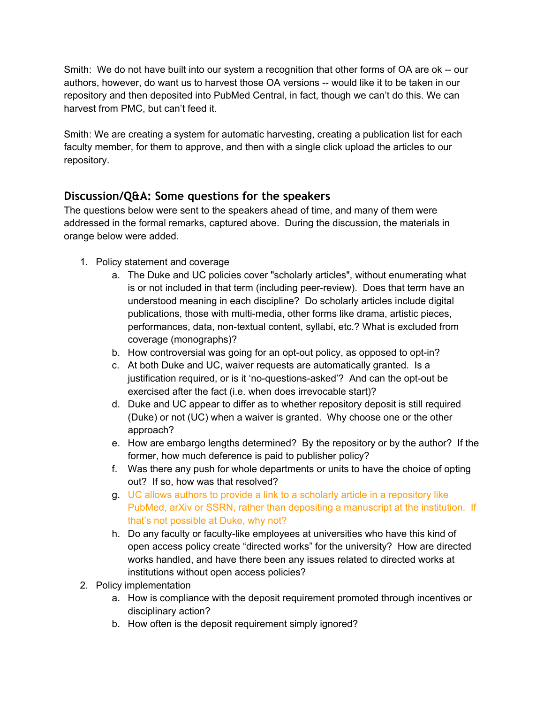Smith: We do not have built into our system a recognition that other forms of OA are ok -- our authors, however, do want us to harvest those OA versions -- would like it to be taken in our repository and then deposited into PubMed Central, in fact, though we can't do this. We can harvest from PMC, but can't feed it.

Smith: We are creating a system for automatic harvesting, creating a publication list for each faculty member, for them to approve, and then with a single click upload the articles to our repository.

## **Discussion/Q&A: Some questions for the speakers**

The questions below were sent to the speakers ahead of time, and many of them were addressed in the formal remarks, captured above. During the discussion, the materials in orange below were added.

- 1. Policy statement and coverage
	- a. The Duke and UC policies cover "scholarly articles", without enumerating what is or not included in that term (including peer-review). Does that term have an understood meaning in each discipline? Do scholarly articles include digital publications, those with multi-media, other forms like drama, artistic pieces, performances, data, non-textual content, syllabi, etc.? What is excluded from coverage (monographs)?
	- b. How controversial was going for an opt-out policy, as opposed to opt-in?
	- c. At both Duke and UC, waiver requests are automatically granted. Is a justification required, or is it 'no-questions-asked'? And can the opt-out be exercised after the fact (i.e. when does irrevocable start)?
	- d. Duke and UC appear to differ as to whether repository deposit is still required (Duke) or not (UC) when a waiver is granted. Why choose one or the other approach?
	- e. How are embargo lengths determined? By the repository or by the author? If the former, how much deference is paid to publisher policy?
	- f. Was there any push for whole departments or units to have the choice of opting out? If so, how was that resolved?
	- g. UC allows authors to provide a link to a scholarly article in a repository like PubMed, arXiv or SSRN, rather than depositing a manuscript at the institution. If that's not possible at Duke, why not?
	- h. Do any faculty or faculty-like employees at universities who have this kind of open access policy create "directed works" for the university? How are directed works handled, and have there been any issues related to directed works at institutions without open access policies?
- 2. Policy implementation
	- a. How is compliance with the deposit requirement promoted through incentives or disciplinary action?
	- b. How often is the deposit requirement simply ignored?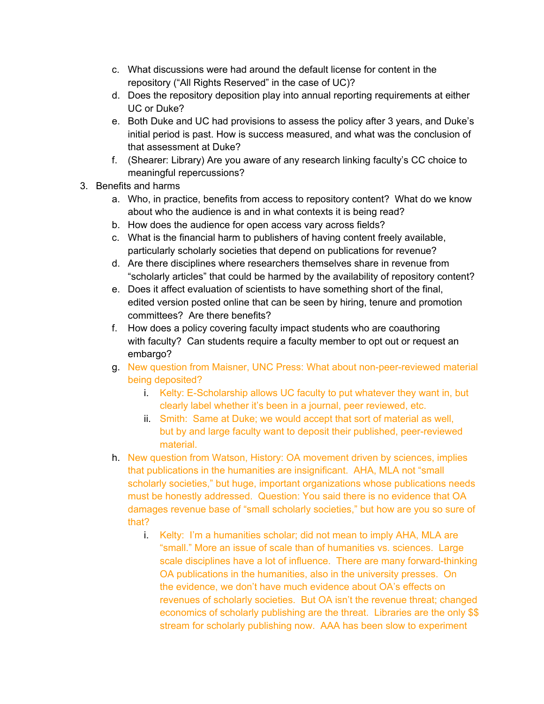- c. What discussions were had around the default license for content in the repository ("All Rights Reserved" in the case of UC)?
- d. Does the repository deposition play into annual reporting requirements at either UC or Duke?
- e. Both Duke and UC had provisions to assess the policy after 3 years, and Duke's initial period is past. How is success measured, and what was the conclusion of that assessment at Duke?
- f. (Shearer: Library) Are you aware of any research linking faculty's CC choice to meaningful repercussions?
- 3. Benefits and harms
	- a. Who, in practice, benefits from access to repository content? What do we know about who the audience is and in what contexts it is being read?
	- b. How does the audience for open access vary across fields?
	- c. What is the financial harm to publishers of having content freely available, particularly scholarly societies that depend on publications for revenue?
	- d. Are there disciplines where researchers themselves share in revenue from "scholarly articles" that could be harmed by the availability of repository content?
	- e. Does it affect evaluation of scientists to have something short of the final, edited version posted online that can be seen by hiring, tenure and promotion committees? Are there benefits?
	- f. How does a policy covering faculty impact students who are coauthoring with faculty? Can students require a faculty member to opt out or request an embargo?
	- g. New question from Maisner, UNC Press: What about non-peer-reviewed material being deposited?
		- i. Kelty: E-Scholarship allows UC faculty to put whatever they want in, but clearly label whether it's been in a journal, peer reviewed, etc.
		- ii. Smith: Same at Duke; we would accept that sort of material as well, but by and large faculty want to deposit their published, peer-reviewed material.
	- h. New question from Watson, History: OA movement driven by sciences, implies that publications in the humanities are insignificant. AHA, MLA not "small scholarly societies," but huge, important organizations whose publications needs must be honestly addressed. Question: You said there is no evidence that OA damages revenue base of "small scholarly societies," but how are you so sure of that?
		- i. Kelty: I'm a humanities scholar; did not mean to imply AHA, MLA are "small." More an issue of scale than of humanities vs. sciences. Large scale disciplines have a lot of influence. There are many forward-thinking OA publications in the humanities, also in the university presses. On the evidence, we don't have much evidence about OA's effects on revenues of scholarly societies. But OA isn't the revenue threat; changed economics of scholarly publishing are the threat. Libraries are the only \$\$ stream for scholarly publishing now. AAA has been slow to experiment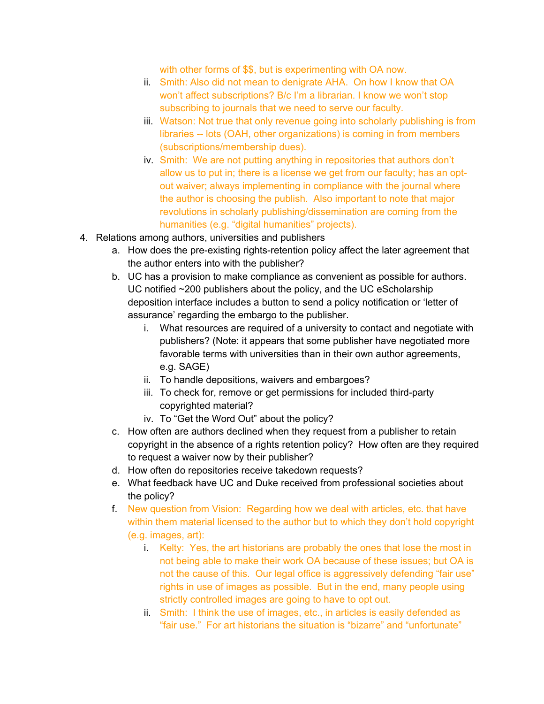with other forms of \$\$, but is experimenting with OA now.

- ii. Smith: Also did not mean to denigrate AHA. On how I know that OA won't affect subscriptions? B/c I'm a librarian. I know we won't stop subscribing to journals that we need to serve our faculty.
- iii. Watson: Not true that only revenue going into scholarly publishing is from libraries -- lots (OAH, other organizations) is coming in from members (subscriptions/membership dues).
- iv. Smith: We are not putting anything in repositories that authors don't allow us to put in; there is a license we get from our faculty; has an optout waiver; always implementing in compliance with the journal where the author is choosing the publish. Also important to note that major revolutions in scholarly publishing/dissemination are coming from the humanities (e.g. "digital humanities" projects).
- 4. Relations among authors, universities and publishers
	- a. How does the pre-existing rights-retention policy affect the later agreement that the author enters into with the publisher?
	- b. UC has a provision to make compliance as convenient as possible for authors. UC notified ~200 publishers about the policy, and the UC eScholarship deposition interface includes a button to send a policy notification or 'letter of assurance' regarding the embargo to the publisher.
		- i. What resources are required of a university to contact and negotiate with publishers? (Note: it appears that some publisher have negotiated more favorable terms with universities than in their own author agreements, e.g. SAGE)
		- ii. To handle depositions, waivers and embargoes?
		- iii. To check for, remove or get permissions for included third-party copyrighted material?
		- iv. To "Get the Word Out" about the policy?
	- c. How often are authors declined when they request from a publisher to retain copyright in the absence of a rights retention policy? How often are they required to request a waiver now by their publisher?
	- d. How often do repositories receive takedown requests?
	- e. What feedback have UC and Duke received from professional societies about the policy?
	- f. New question from Vision: Regarding how we deal with articles, etc. that have within them material licensed to the author but to which they don't hold copyright (e.g. images, art):
		- i. Kelty: Yes, the art historians are probably the ones that lose the most in not being able to make their work OA because of these issues; but OA is not the cause of this. Our legal office is aggressively defending "fair use" rights in use of images as possible. But in the end, many people using strictly controlled images are going to have to opt out.
		- ii. Smith: I think the use of images, etc., in articles is easily defended as "fair use." For art historians the situation is "bizarre" and "unfortunate"